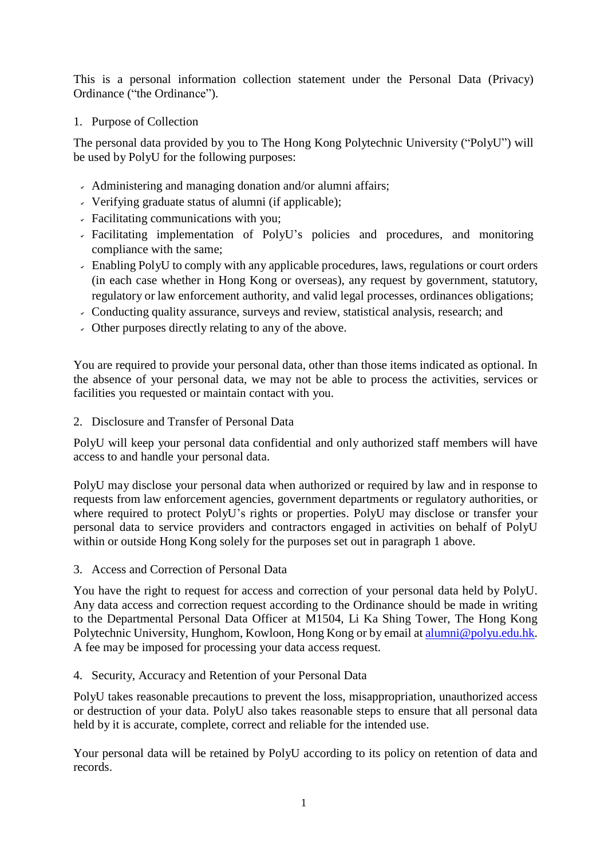This is a personal information collection statement under the Personal Data (Privacy) Ordinance ("the Ordinance").

1. Purpose of Collection

The personal data provided by you to The Hong Kong Polytechnic University ("PolyU") will be used by PolyU for the following purposes:

- Administering and managing donation and/or alumni affairs;
- Verifying graduate status of alumni (if applicable);
- Facilitating communications with you;
- Facilitating implementation of PolyU's policies and procedures, and monitoring compliance with the same;
- Enabling PolyU to comply with any applicable procedures, laws, regulations or court orders (in each case whether in Hong Kong or overseas), any request by government, statutory, regulatory or law enforcement authority, and valid legal processes, ordinances obligations;
- Conducting quality assurance, surveys and review, statistical analysis, research; and
- Other purposes directly relating to any of the above.

You are required to provide your personal data, other than those items indicated as optional. In the absence of your personal data, we may not be able to process the activities, services or facilities you requested or maintain contact with you.

2. Disclosure and Transfer of Personal Data

PolyU will keep your personal data confidential and only authorized staff members will have access to and handle your personal data.

PolyU may disclose your personal data when authorized or required by law and in response to requests from law enforcement agencies, government departments or regulatory authorities, or where required to protect PolyU's rights or properties. PolyU may disclose or transfer your personal data to service providers and contractors engaged in activities on behalf of PolyU within or outside Hong Kong solely for the purposes set out in paragraph 1 above.

3. Access and Correction of Personal Data

You have the right to request for access and correction of your personal data held by PolyU. Any data access and correction request according to the Ordinance should be made in writing to the Departmental Personal Data Officer at M1504, Li Ka Shing Tower, The Hong Kong Polytechnic University, Hunghom, Kowloon, Hong Kong or by email at [alumni@polyu.edu.hk.](mailto:alumni@polyu.edu.hk) A fee may be imposed for processing your data access request.

4. Security, Accuracy and Retention of your Personal Data

PolyU takes reasonable precautions to prevent the loss, misappropriation, unauthorized access or destruction of your data. PolyU also takes reasonable steps to ensure that all personal data held by it is accurate, complete, correct and reliable for the intended use.

Your personal data will be retained by PolyU according to its policy on retention of data and records.